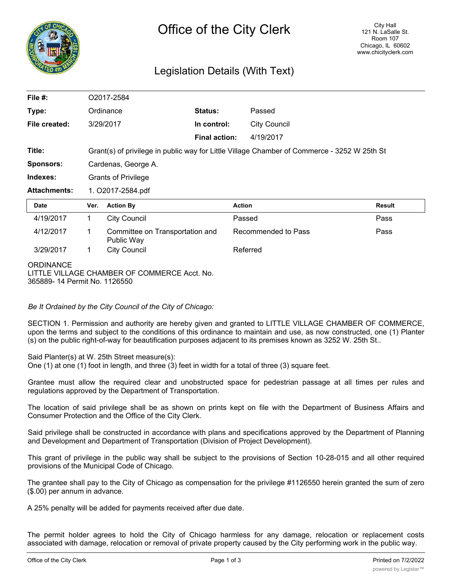

## Legislation Details (With Text)

| File $#$ :                                                                                       | O2017-2584                                                                                  |                                               |                      |                     |                     |               |
|--------------------------------------------------------------------------------------------------|---------------------------------------------------------------------------------------------|-----------------------------------------------|----------------------|---------------------|---------------------|---------------|
| Type:                                                                                            | Ordinance                                                                                   |                                               | Status:              |                     | Passed              |               |
| File created:                                                                                    | 3/29/2017                                                                                   |                                               | In control:          |                     | <b>City Council</b> |               |
|                                                                                                  |                                                                                             |                                               | <b>Final action:</b> |                     | 4/19/2017           |               |
| Title:                                                                                           | Grant(s) of privilege in public way for Little Village Chamber of Commerce - 3252 W 25th St |                                               |                      |                     |                     |               |
| <b>Sponsors:</b>                                                                                 | Cardenas, George A.                                                                         |                                               |                      |                     |                     |               |
| Indexes:                                                                                         | <b>Grants of Privilege</b>                                                                  |                                               |                      |                     |                     |               |
| <b>Attachments:</b>                                                                              | 1. O2017-2584.pdf                                                                           |                                               |                      |                     |                     |               |
| <b>Date</b>                                                                                      | Ver.                                                                                        | <b>Action By</b>                              |                      | <b>Action</b>       |                     | <b>Result</b> |
| 4/19/2017                                                                                        | 1.                                                                                          | <b>City Council</b>                           |                      | Passed              |                     | Pass          |
| 4/12/2017                                                                                        | 1                                                                                           | Committee on Transportation and<br>Public Way |                      | Recommended to Pass |                     | Pass          |
| 3/29/2017                                                                                        | 1.                                                                                          | <b>City Council</b>                           |                      | Referred            |                     |               |
| <b>ORDINANCE</b><br>LITTLE VILLAGE CHAMBER OF COMMERCE Acct. No.<br>365889-14 Permit No. 1126550 |                                                                                             |                                               |                      |                     |                     |               |

*Be It Ordained by the City Council of the City of Chicago:*

SECTION 1. Permission and authority are hereby given and granted to LITTLE VILLAGE CHAMBER OF COMMERCE, upon the terms and subject to the conditions of this ordinance to maintain and use, as now constructed, one (1) Planter (s) on the public right-of-way for beautification purposes adjacent to its premises known as 3252 W. 25th St..

Said Planter(s) at W. 25th Street measure(s):

One (1) at one (1) foot in length, and three (3) feet in width for a total of three (3) square feet.

Grantee must allow the required clear and unobstructed space for pedestrian passage at all times per rules and regulations approved by the Department of Transportation.

The location of said privilege shall be as shown on prints kept on file with the Department of Business Affairs and Consumer Protection and the Office of the City Clerk.

Said privilege shall be constructed in accordance with plans and specifications approved by the Department of Planning and Development and Department of Transportation (Division of Project Development).

This grant of privilege in the public way shall be subject to the provisions of Section 10-28-015 and all other required provisions of the Municipal Code of Chicago.

The grantee shall pay to the City of Chicago as compensation for the privilege #1126550 herein granted the sum of zero (\$.00) per annum in advance.

A 25% penalty will be added for payments received after due date.

The permit holder agrees to hold the City of Chicago harmless for any damage, relocation or replacement costs associated with damage, relocation or removal of private property caused by the City performing work in the public way.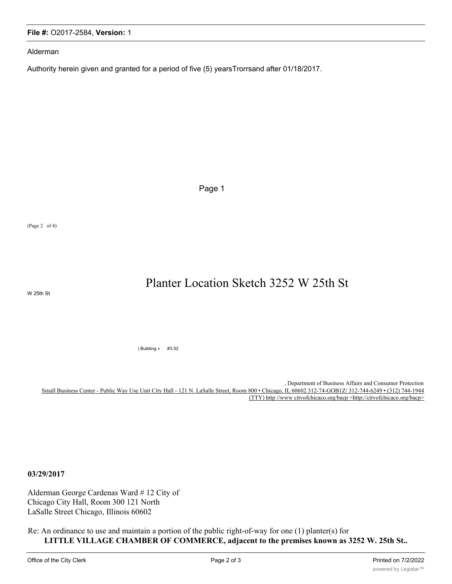Alderman

**File #:** O2017-2584, **Version:** 1

Authority herein given and granted for a period of five (5) yearsTrorrsand after 01/18/2017.

Page 1

(Page 2 of 4)

Planter Location Sketch 3252 W 25th St

W 25th St

| Building « #3 52

, Department of Business Affairs and Consumer Protection Small Business Center - Public Way Use Unit City Hall - 121 N. LaSalle Street, Room 800 • Chicago, IL 60602 312-74-GOB1Z/ 312-744-6249 • (312) 744-1944 (TTY) http //www citvofchicaco.org/bacp <http://citvofchicaco.org/bacp>

**03/29/2017**

Alderman George Cardenas Ward # 12 City of Chicago City Hall, Room 300 121 North LaSalle Street Chicago, Illinois 60602

Re: An ordinance to use and maintain a portion of the public right-of-way for one (1) planter(s) for **LITTLE VILLAGE CHAMBER OF COMMERCE, adjacent to the premises known as 3252 W. 25th St..**